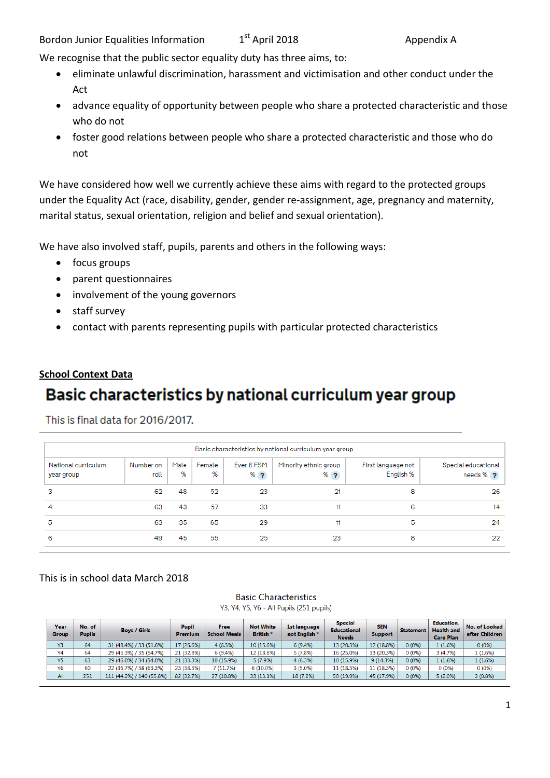Bordon Junior Equalities Information 1  $1<sup>st</sup>$  April 2018  $\hspace{1.5cm}$  Appendix A

We recognise that the public sector equality duty has three aims, to:

- eliminate unlawful discrimination, harassment and victimisation and other conduct under the Act
- advance equality of opportunity between people who share a protected characteristic and those who do not
- foster good relations between people who share a protected characteristic and those who do not

We have considered how well we currently achieve these aims with regard to the protected groups under the Equality Act (race, disability, gender, gender re-assignment, age, pregnancy and maternity, marital status, sexual orientation, religion and belief and sexual orientation).

We have also involved staff, pupils, parents and others in the following ways:

- focus groups
- parent questionnaires
- involvement of the young governors
- staff survey
- contact with parents representing pupils with particular protected characteristics

#### **School Context Data**

## Basic characteristics by national curriculum year group

This is final data for 2016/2017.

| Basic characteristics by national curriculum year group |                   |           |             |                     |                                |                                 |                                    |  |  |  |
|---------------------------------------------------------|-------------------|-----------|-------------|---------------------|--------------------------------|---------------------------------|------------------------------------|--|--|--|
| National curriculum<br>year group                       | Number on<br>roll | Male<br>% | Female<br>% | Ever 6 FSM<br>$%$ ? | Minority ethnic group<br>$%$ ? | First language not<br>English % | Special educational<br>needs $%$ ? |  |  |  |
| 3                                                       | 62                | 48        | 52          | 23                  | 21                             | 8                               | 26                                 |  |  |  |
| 4                                                       | 63                | 43        | 57          | 33                  | 11                             | 6                               | 14                                 |  |  |  |
| 5                                                       | 63                | 35        | 65          | 29                  | 11                             | 5                               | 24                                 |  |  |  |
| 6                                                       | 49                | 45        | 55          | 25                  | 23                             | 8                               | 22                                 |  |  |  |

#### This is in school data March 2018

#### **Basic Characteristics** Y3, Y4, Y5, Y6 - All Pupils (251 pupils)

| Year<br>Group  | No. of<br><b>Pupils</b> | <b>Boys / Girls</b>       | <b>Pupil</b><br>Premium | Free<br><b>School Meals</b> | <b>Not White</b><br>British <sup>*</sup> | 1st language<br>not English * | <b>Special</b><br><b>Educational</b><br><b>Needs</b> | <b>SEN</b><br><b>Support</b> | <b>Statement</b> | Education,<br><b>Health and</b><br><b>Care Plan</b> | No. of Looked<br>after Children |
|----------------|-------------------------|---------------------------|-------------------------|-----------------------------|------------------------------------------|-------------------------------|------------------------------------------------------|------------------------------|------------------|-----------------------------------------------------|---------------------------------|
| Y3             | 64                      | 31 (48.4%) / 33 (51.6%)   | 17 (26.6%)              | 4(6.3%)                     | 10 (15.6%)                               | 6(9.4%)                       | 13 (20.3%)                                           | 12 (18.8%)                   | $0(0\%)$         | 1 (1.6%)                                            | $0(0\%)$                        |
| Y4             | 64                      | 29 (45.3%) / 35 (54.7%)   | 21 (32.8%)              | 6(9.4%)                     | 12 (18.8%)                               | 5(7.8%)                       | 16 (25.0%)                                           | 13 (20.3%)                   | 0(0%)            | 3(4.7%)                                             | 1(1.6%)                         |
| Y5             | 63                      | 29 (46.0%) / 34 (54.0%)   | 21 (33.3%)              | 10 (15.9%)                  | 5(7.9%)                                  | 4(6.3%)                       | 10 (15.9%)                                           | 9(14.3%)                     | 0(0%             | 1(1.6%)                                             | 1(1.6%)                         |
| Y <sub>6</sub> | 60                      | 22 (36.7%) / 38 (63.3%)   | 23 (38.3%)              | 7 (11.7%)                   | $6(10.0\%)$                              | $3(5.0\%)$                    | 11 (18.3%)                                           | 11 (18.3%)                   | 0 (0%)           | $0(0\%)$                                            | $0(0\%)$                        |
| All            | 251                     | 111 (44.2%) / 140 (55.8%) | 82 (32.7%)              | 27 (10.8%)                  | 33 (13.1%)                               | 18 (7.2%)                     | 50 (19.9%)                                           | 45 (17.9%)                   | 0(0%             | 5(2.0%)                                             | $2(0.8\%)$                      |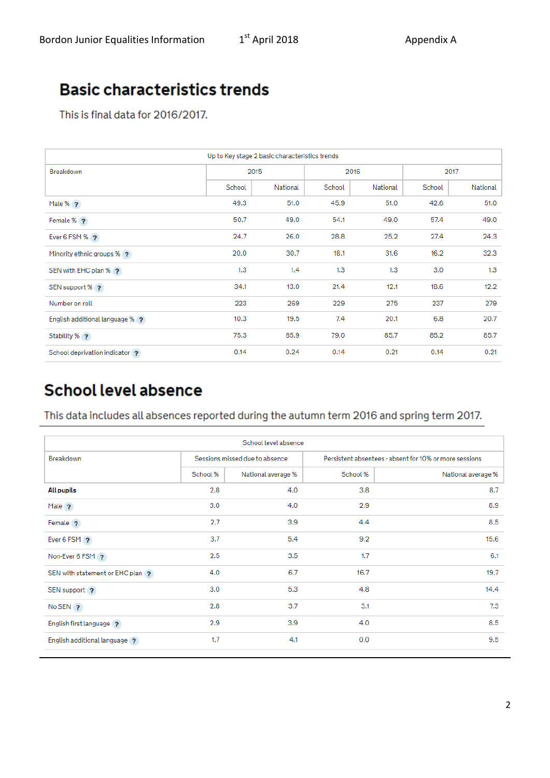# **Basic characteristics trends**

This is final data for 2016/2017.

| Up to Key stage 2 basic characteristics trends |        |          |        |          |        |          |  |  |
|------------------------------------------------|--------|----------|--------|----------|--------|----------|--|--|
| Breakdown                                      |        | 2015     | 2016   |          | 2017   |          |  |  |
|                                                | School | National | School | National | School | National |  |  |
| Male % ?                                       | 49.3   | 51.0     | 45.9   | 51.0     | 42.6   | 51.0     |  |  |
| Female % ?                                     | 50.7   | 49.0     | 54.1   | 49.0     | 57.4   | 49.0     |  |  |
| Ever 6 FSM % ?                                 | 24.7   | 26.0     | 28.8   | 25.2     | 27.4   | 24.3     |  |  |
| Minority ethnic groups % ?                     | 20.0   | 30.7     | 18.1   | 31.6     | 16.2   | 32.3     |  |  |
| SEN with EHC plan % ?                          | 1.3    | 1.4      | 1.3    | 1.3      | 3.0    | 1.3      |  |  |
| SEN support % ?                                | 34.1   | 13.0     | 21.4   | 12.1     | 18.6   | 12.2     |  |  |
| Number on roll                                 | 223    | 269      | 229    | 275      | 237    | 279      |  |  |
| English additional language % ?                | 10.3   | 19.5     | 7.4    | 20.1     | 6.8    | 20.7     |  |  |
| Stability % ?                                  | 75.3   | 85.9     | 79.0   | 85.7     | 85.2   | 85.7     |  |  |
| School deprivation indicator ?                 | 0.14   | 0.24     | 0.14   | 0.21     | 0.14   | 0.21     |  |  |

# **School level absence**

### This data includes all absences reported during the autumn term 2016 and spring term 2017.

| School level absence           |          |                                |                                                        |                    |  |  |  |  |
|--------------------------------|----------|--------------------------------|--------------------------------------------------------|--------------------|--|--|--|--|
| Breakdown                      |          | Sessions missed due to absence | Persistent absentees - absent for 10% or more sessions |                    |  |  |  |  |
|                                | School % | National average %             | School %                                               | National average % |  |  |  |  |
| All pupils                     | 2.8      | 4.0                            | 3.8                                                    | 8.7                |  |  |  |  |
| Male ?                         | 3.0      | 4.0                            | 2.9                                                    | 8.9                |  |  |  |  |
| Female ?                       | 2.7      | 3.9                            | 4.4                                                    | 8.5                |  |  |  |  |
| Ever 6 FSM ?                   | 3.7      | 5.4                            | 9.2                                                    | 15.6               |  |  |  |  |
| Non-Ever 6 FSM 2               | 2.5      | 3.5                            | 1.7                                                    | 6.1                |  |  |  |  |
| SEN with statement or EHC plan | 4.0      | 6.7                            | 16.7                                                   | 19.7               |  |  |  |  |
| SEN support ?                  | 3.0      | 5.3                            | 4.8                                                    | 14.4               |  |  |  |  |
| $No$ SEN $\rightarrow$         | 2.8      | 3.7                            | 3.1                                                    | 7.3                |  |  |  |  |
| English first language ?       | 2.9      | 3.9                            | 4.0                                                    | 8.5                |  |  |  |  |
| English additional language ?  | 1.7      | 4.1                            | 0.0                                                    | 9.5                |  |  |  |  |
|                                |          |                                |                                                        |                    |  |  |  |  |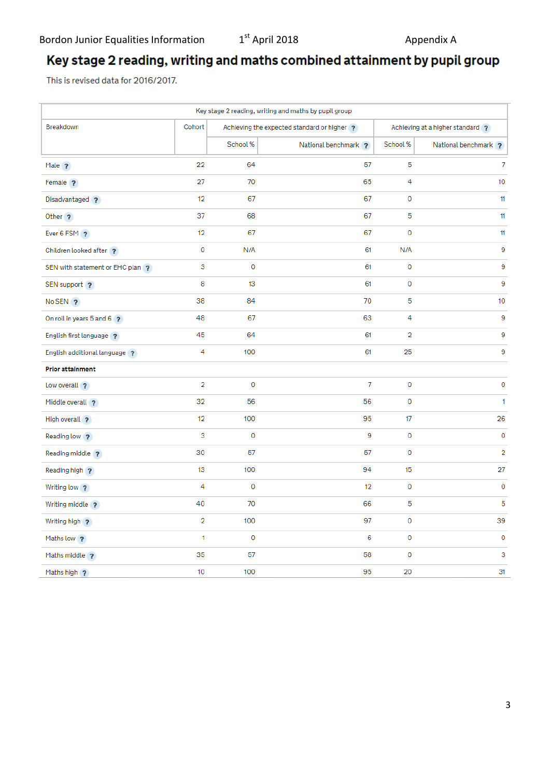## Key stage 2 reading, writing and maths combined attainment by pupil group

This is revised data for 2016/2017.

| Key stage 2 reading, writing and maths by pupil group |                |                  |                                             |                                  |                         |  |  |  |
|-------------------------------------------------------|----------------|------------------|---------------------------------------------|----------------------------------|-------------------------|--|--|--|
| Breakdown                                             | Cohort         |                  | Achieving the expected standard or higher ? | Achieving at a higher standard ? |                         |  |  |  |
|                                                       |                | School %         | National benchmark ?                        | School %                         | National benchmark ?    |  |  |  |
| Male ?                                                | 22             | 64               | 57                                          | 5                                | 7                       |  |  |  |
| Female ?                                              | 27             | 70               | 65                                          | 4                                | 10                      |  |  |  |
| Disadvantaged ?                                       | 12             | 67               | 67                                          | 0                                | 11                      |  |  |  |
| Other <sub>?</sub>                                    | 37             | 68               | 67                                          | 5                                | 11                      |  |  |  |
| Ever 6 FSM ?                                          | 12             | 67               | 67                                          | 0                                | 11                      |  |  |  |
| Children looked after ?                               | 0              | N/A              | 61                                          | N/A                              | 9                       |  |  |  |
| SEN with statement or EHC plan ?                      | 3              | 0                | 61                                          | 0                                | 9                       |  |  |  |
| SEN support ?                                         | 8              | 13               | 61                                          | 0                                | 9                       |  |  |  |
| No SEN <sub>2</sub>                                   | 38             | 84               | 70                                          | 5                                | 10                      |  |  |  |
| On roll in years 5 and 6 ?                            | 48             | 67               | 63                                          | 4                                | 9                       |  |  |  |
| English first language ?                              | 45             | 64               | 61                                          | 2                                | 9                       |  |  |  |
| English additional language ?                         | 4              | 100              | 61                                          | 25                               | 9                       |  |  |  |
| <b>Prior attainment</b>                               |                |                  |                                             |                                  |                         |  |  |  |
| Low overall ?                                         | $\overline{2}$ | $\mathbf 0$      | 7                                           | 0                                | $\mathbf 0$             |  |  |  |
| Middle overall ?                                      | 32             | 56               | 56                                          | 0                                | $\mathbf{1}$            |  |  |  |
| High overall ?                                        | 12             | 100              | 95                                          | 17                               | 26                      |  |  |  |
| Reading low ?                                         | 3              | 0                | 9                                           | 0                                | 0                       |  |  |  |
| Reading middle ?                                      | 30             | 57               | 57                                          | 0                                | $\overline{\mathbf{2}}$ |  |  |  |
| Reading high ?                                        | 13             | 100              | 94                                          | 15                               | 27                      |  |  |  |
| Writing low ?                                         | 4              | $\pmb{0}$        | 12                                          | 0                                | $\pmb{0}$               |  |  |  |
| Writing middle ?                                      | 40             | 70               | 66                                          | 5                                | 5                       |  |  |  |
| Writing high ?                                        | $\overline{2}$ | 100 <sub>1</sub> | 97                                          | 0                                | 39                      |  |  |  |
| Maths low ?                                           | 1              | 0                | 6                                           | 0                                | $\pmb{0}$               |  |  |  |
| Maths middle ?                                        | 35             | 57               | 58                                          | 0                                | 3                       |  |  |  |
| Maths high ?                                          | 10             | 100              | 95                                          | 20                               | 31                      |  |  |  |